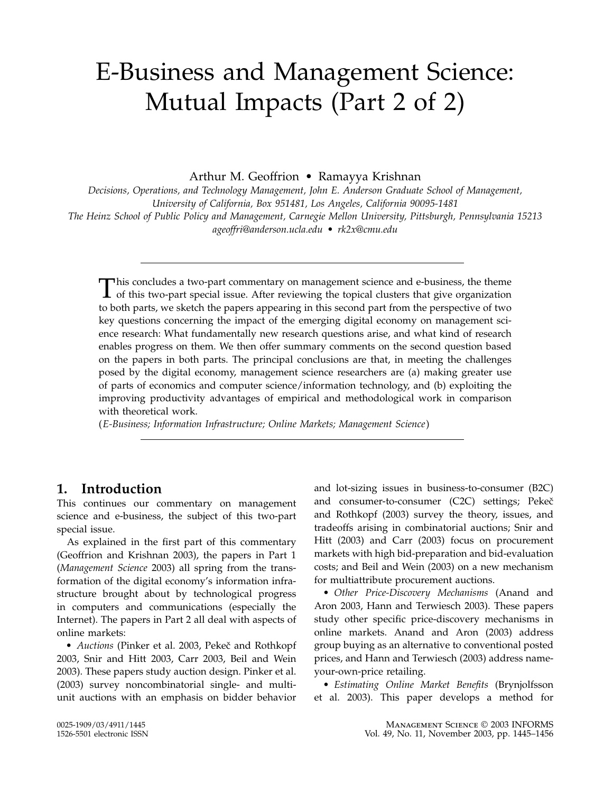# E-Business and Management Science: Mutual Impacts (Part 2 of 2)

Arthur M. Geoffrion • Ramayya Krishnan

Decisions, Operations, and Technology Management, John E. Anderson Graduate School of Management, University of California, Box 951481, Los Angeles, California 90095-1481 The Heinz School of Public Policy and Management, Carnegie Mellon University, Pittsburgh, Pennsylvania 15213 ageoffri@anderson.ucla.edu • rk2x@cmu.edu

This concludes a two-part commentary on management science and e-business, the theme<br>of this two-part special issue. After reviewing the topical clusters that give organization to both parts, we sketch the papers appearing in this second part from the perspective of two key questions concerning the impact of the emerging digital economy on management science research: What fundamentally new research questions arise, and what kind of research enables progress on them. We then offer summary comments on the second question based on the papers in both parts. The principal conclusions are that, in meeting the challenges posed by the digital economy, management science researchers are (a) making greater use of parts of economics and computer science/information technology, and (b) exploiting the improving productivity advantages of empirical and methodological work in comparison with theoretical work.

(E-Business; Information Infrastructure; Online Markets; Management Science)

## 1. Introduction

This continues our commentary on management science and e-business, the subject of this two-part special issue.

As explained in the first part of this commentary (Geoffrion and Krishnan 2003), the papers in Part 1 (Management Science 2003) all spring from the transformation of the digital economy's information infrastructure brought about by technological progress in computers and communications (especially the Internet). The papers in Part 2 all deal with aspects of online markets:

• Auctions (Pinker et al. 2003, Pekeč and Rothkopf 2003, Snir and Hitt 2003, Carr 2003, Beil and Wein 2003). These papers study auction design. Pinker et al. (2003) survey noncombinatorial single- and multiunit auctions with an emphasis on bidder behavior and lot-sizing issues in business-to-consumer (B2C) and consumer-to-consumer (C2C) settings; Pekeč and Rothkopf (2003) survey the theory, issues, and tradeoffs arising in combinatorial auctions; Snir and Hitt (2003) and Carr (2003) focus on procurement markets with high bid-preparation and bid-evaluation costs; and Beil and Wein (2003) on a new mechanism for multiattribute procurement auctions.

• Other Price-Discovery Mechanisms (Anand and Aron 2003, Hann and Terwiesch 2003). These papers study other specific price-discovery mechanisms in online markets. Anand and Aron (2003) address group buying as an alternative to conventional posted prices, and Hann and Terwiesch (2003) address nameyour-own-price retailing.

• Estimating Online Market Benefits (Brynjolfsson et al. 2003). This paper develops a method for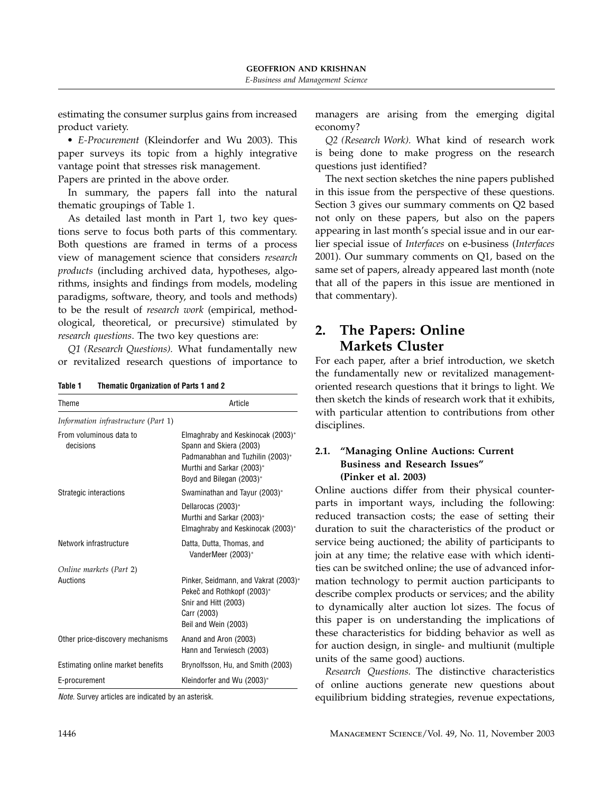estimating the consumer surplus gains from increased product variety.

• E-Procurement (Kleindorfer and Wu 2003). This paper surveys its topic from a highly integrative vantage point that stresses risk management.

Papers are printed in the above order.

In summary, the papers fall into the natural thematic groupings of Table 1.

As detailed last month in Part 1, two key questions serve to focus both parts of this commentary. Both questions are framed in terms of a process view of management science that considers research products (including archived data, hypotheses, algorithms, insights and findings from models, modeling paradigms, software, theory, and tools and methods) to be the result of research work (empirical, methodological, theoretical, or precursive) stimulated by research questions. The two key questions are:

Q1 (Research Questions). What fundamentally new or revitalized research questions of importance to

Table 1 Thematic Organization of Parts 1 and 2

| Theme                                | Article                                                                                                                                                   |
|--------------------------------------|-----------------------------------------------------------------------------------------------------------------------------------------------------------|
| Information infrastructure (Part 1)  |                                                                                                                                                           |
| From voluminous data to<br>decisions | Elmaghraby and Keskinocak (2003)*<br>Spann and Skiera (2003)<br>Padmanabhan and Tuzhilin (2003)*<br>Murthi and Sarkar (2003)*<br>Boyd and Bilegan (2003)* |
| Strategic interactions               | Swaminathan and Tayur (2003)*                                                                                                                             |
|                                      | Dellarocas (2003)*<br>Murthi and Sarkar (2003)*<br>Elmaghraby and Keskinocak (2003)*                                                                      |
| Network infrastructure               | Datta, Dutta, Thomas, and<br>VanderMeer (2003)*                                                                                                           |
| Online markets (Part 2)              |                                                                                                                                                           |
| Auctions                             | Pinker, Seidmann, and Vakrat (2003)*<br>Pekeč and Rothkopf (2003)*<br>Snir and Hitt (2003)<br>Carr (2003)<br>Beil and Wein (2003)                         |
| Other price-discovery mechanisms     | Anand and Aron (2003)<br>Hann and Terwiesch (2003)                                                                                                        |
| Estimating online market benefits    | Brynolfsson, Hu, and Smith (2003)                                                                                                                         |
| E-procurement                        | Kleindorfer and Wu (2003)*                                                                                                                                |

Note. Survey articles are indicated by an asterisk.

managers are arising from the emerging digital economy?

Q2 (Research Work). What kind of research work is being done to make progress on the research questions just identified?

The next section sketches the nine papers published in this issue from the perspective of these questions. Section 3 gives our summary comments on Q2 based not only on these papers, but also on the papers appearing in last month's special issue and in our earlier special issue of Interfaces on e-business (Interfaces 2001). Our summary comments on Q1, based on the same set of papers, already appeared last month (note that all of the papers in this issue are mentioned in that commentary).

## 2. The Papers: Online Markets Cluster

For each paper, after a brief introduction, we sketch the fundamentally new or revitalized managementoriented research questions that it brings to light. We then sketch the kinds of research work that it exhibits, with particular attention to contributions from other disciplines.

#### 2.1. "Managing Online Auctions: Current Business and Research Issues" (Pinker et al. 2003)

Online auctions differ from their physical counterparts in important ways, including the following: reduced transaction costs; the ease of setting their duration to suit the characteristics of the product or service being auctioned; the ability of participants to join at any time; the relative ease with which identities can be switched online; the use of advanced information technology to permit auction participants to describe complex products or services; and the ability to dynamically alter auction lot sizes. The focus of this paper is on understanding the implications of these characteristics for bidding behavior as well as for auction design, in single- and multiunit (multiple units of the same good) auctions.

Research Questions. The distinctive characteristics of online auctions generate new questions about equilibrium bidding strategies, revenue expectations,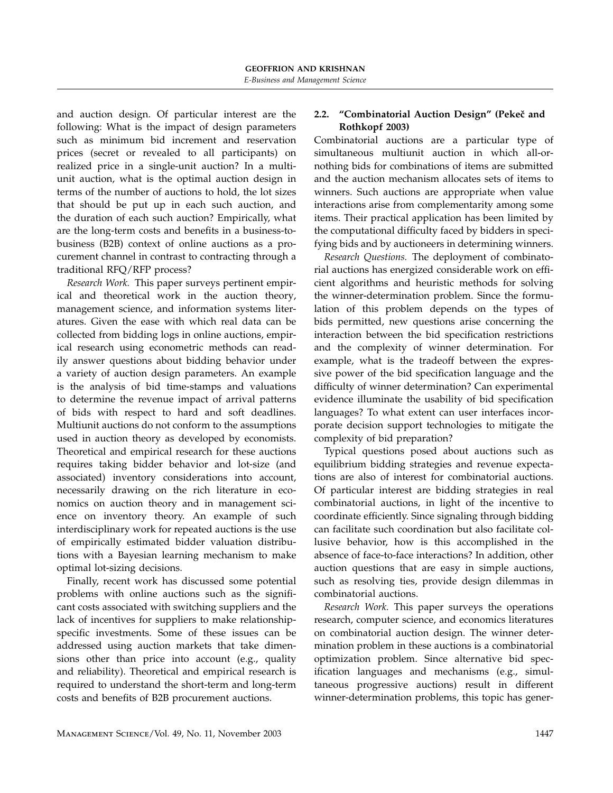and auction design. Of particular interest are the following: What is the impact of design parameters such as minimum bid increment and reservation prices (secret or revealed to all participants) on realized price in a single-unit auction? In a multiunit auction, what is the optimal auction design in terms of the number of auctions to hold, the lot sizes that should be put up in each such auction, and the duration of each such auction? Empirically, what are the long-term costs and benefits in a business-tobusiness (B2B) context of online auctions as a procurement channel in contrast to contracting through a traditional RFQ/RFP process?

Research Work. This paper surveys pertinent empirical and theoretical work in the auction theory, management science, and information systems literatures. Given the ease with which real data can be collected from bidding logs in online auctions, empirical research using econometric methods can readily answer questions about bidding behavior under a variety of auction design parameters. An example is the analysis of bid time-stamps and valuations to determine the revenue impact of arrival patterns of bids with respect to hard and soft deadlines. Multiunit auctions do not conform to the assumptions used in auction theory as developed by economists. Theoretical and empirical research for these auctions requires taking bidder behavior and lot-size (and associated) inventory considerations into account, necessarily drawing on the rich literature in economics on auction theory and in management science on inventory theory. An example of such interdisciplinary work for repeated auctions is the use of empirically estimated bidder valuation distributions with a Bayesian learning mechanism to make optimal lot-sizing decisions.

Finally, recent work has discussed some potential problems with online auctions such as the significant costs associated with switching suppliers and the lack of incentives for suppliers to make relationshipspecific investments. Some of these issues can be addressed using auction markets that take dimensions other than price into account (e.g., quality and reliability). Theoretical and empirical research is required to understand the short-term and long-term costs and benefits of B2B procurement auctions.

#### 2.2. "Combinatorial Auction Design" (Pekeč and Rothkopf 2003)

Combinatorial auctions are a particular type of simultaneous multiunit auction in which all-ornothing bids for combinations of items are submitted and the auction mechanism allocates sets of items to winners. Such auctions are appropriate when value interactions arise from complementarity among some items. Their practical application has been limited by the computational difficulty faced by bidders in specifying bids and by auctioneers in determining winners.

Research Questions. The deployment of combinatorial auctions has energized considerable work on efficient algorithms and heuristic methods for solving the winner-determination problem. Since the formulation of this problem depends on the types of bids permitted, new questions arise concerning the interaction between the bid specification restrictions and the complexity of winner determination. For example, what is the tradeoff between the expressive power of the bid specification language and the difficulty of winner determination? Can experimental evidence illuminate the usability of bid specification languages? To what extent can user interfaces incorporate decision support technologies to mitigate the complexity of bid preparation?

Typical questions posed about auctions such as equilibrium bidding strategies and revenue expectations are also of interest for combinatorial auctions. Of particular interest are bidding strategies in real combinatorial auctions, in light of the incentive to coordinate efficiently. Since signaling through bidding can facilitate such coordination but also facilitate collusive behavior, how is this accomplished in the absence of face-to-face interactions? In addition, other auction questions that are easy in simple auctions, such as resolving ties, provide design dilemmas in combinatorial auctions.

Research Work. This paper surveys the operations research, computer science, and economics literatures on combinatorial auction design. The winner determination problem in these auctions is a combinatorial optimization problem. Since alternative bid specification languages and mechanisms (e.g., simultaneous progressive auctions) result in different winner-determination problems, this topic has gener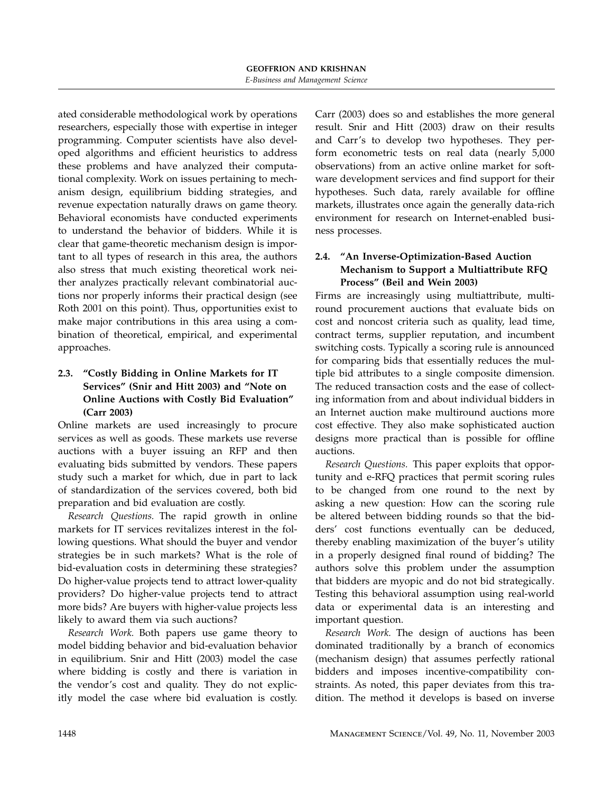ated considerable methodological work by operations researchers, especially those with expertise in integer programming. Computer scientists have also developed algorithms and efficient heuristics to address these problems and have analyzed their computational complexity. Work on issues pertaining to mechanism design, equilibrium bidding strategies, and revenue expectation naturally draws on game theory. Behavioral economists have conducted experiments to understand the behavior of bidders. While it is clear that game-theoretic mechanism design is important to all types of research in this area, the authors also stress that much existing theoretical work neither analyzes practically relevant combinatorial auctions nor properly informs their practical design (see Roth 2001 on this point). Thus, opportunities exist to make major contributions in this area using a combination of theoretical, empirical, and experimental approaches.

## 2.3. "Costly Bidding in Online Markets for IT Services" (Snir and Hitt 2003) and "Note on Online Auctions with Costly Bid Evaluation" (Carr 2003)

Online markets are used increasingly to procure services as well as goods. These markets use reverse auctions with a buyer issuing an RFP and then evaluating bids submitted by vendors. These papers study such a market for which, due in part to lack of standardization of the services covered, both bid preparation and bid evaluation are costly.

Research Questions. The rapid growth in online markets for IT services revitalizes interest in the following questions. What should the buyer and vendor strategies be in such markets? What is the role of bid-evaluation costs in determining these strategies? Do higher-value projects tend to attract lower-quality providers? Do higher-value projects tend to attract more bids? Are buyers with higher-value projects less likely to award them via such auctions?

Research Work. Both papers use game theory to model bidding behavior and bid-evaluation behavior in equilibrium. Snir and Hitt (2003) model the case where bidding is costly and there is variation in the vendor's cost and quality. They do not explicitly model the case where bid evaluation is costly.

Carr (2003) does so and establishes the more general result. Snir and Hitt (2003) draw on their results and Carr's to develop two hypotheses. They perform econometric tests on real data (nearly 5,000 observations) from an active online market for software development services and find support for their hypotheses. Such data, rarely available for offline markets, illustrates once again the generally data-rich environment for research on Internet-enabled business processes.

## 2.4. "An Inverse-Optimization-Based Auction Mechanism to Support a Multiattribute RFQ Process" (Beil and Wein 2003)

Firms are increasingly using multiattribute, multiround procurement auctions that evaluate bids on cost and noncost criteria such as quality, lead time, contract terms, supplier reputation, and incumbent switching costs. Typically a scoring rule is announced for comparing bids that essentially reduces the multiple bid attributes to a single composite dimension. The reduced transaction costs and the ease of collecting information from and about individual bidders in an Internet auction make multiround auctions more cost effective. They also make sophisticated auction designs more practical than is possible for offline auctions.

Research Questions. This paper exploits that opportunity and e-RFQ practices that permit scoring rules to be changed from one round to the next by asking a new question: How can the scoring rule be altered between bidding rounds so that the bidders' cost functions eventually can be deduced, thereby enabling maximization of the buyer's utility in a properly designed final round of bidding? The authors solve this problem under the assumption that bidders are myopic and do not bid strategically. Testing this behavioral assumption using real-world data or experimental data is an interesting and important question.

Research Work. The design of auctions has been dominated traditionally by a branch of economics (mechanism design) that assumes perfectly rational bidders and imposes incentive-compatibility constraints. As noted, this paper deviates from this tradition. The method it develops is based on inverse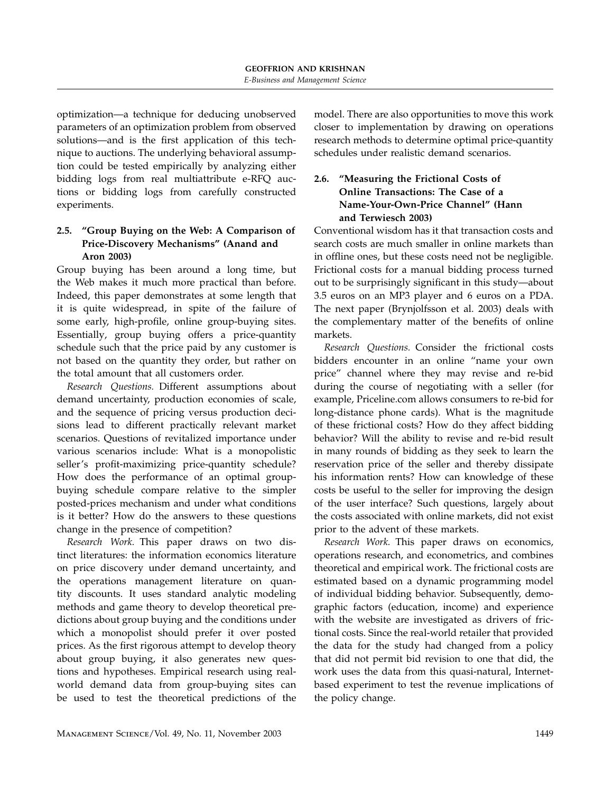optimization—a technique for deducing unobserved parameters of an optimization problem from observed solutions—and is the first application of this technique to auctions. The underlying behavioral assumption could be tested empirically by analyzing either bidding logs from real multiattribute e-RFQ auctions or bidding logs from carefully constructed experiments.

#### 2.5. "Group Buying on the Web: A Comparison of Price-Discovery Mechanisms" (Anand and Aron 2003)

Group buying has been around a long time, but the Web makes it much more practical than before. Indeed, this paper demonstrates at some length that it is quite widespread, in spite of the failure of some early, high-profile, online group-buying sites. Essentially, group buying offers a price-quantity schedule such that the price paid by any customer is not based on the quantity they order, but rather on the total amount that all customers order.

Research Questions. Different assumptions about demand uncertainty, production economies of scale, and the sequence of pricing versus production decisions lead to different practically relevant market scenarios. Questions of revitalized importance under various scenarios include: What is a monopolistic seller's profit-maximizing price-quantity schedule? How does the performance of an optimal groupbuying schedule compare relative to the simpler posted-prices mechanism and under what conditions is it better? How do the answers to these questions change in the presence of competition?

Research Work. This paper draws on two distinct literatures: the information economics literature on price discovery under demand uncertainty, and the operations management literature on quantity discounts. It uses standard analytic modeling methods and game theory to develop theoretical predictions about group buying and the conditions under which a monopolist should prefer it over posted prices. As the first rigorous attempt to develop theory about group buying, it also generates new questions and hypotheses. Empirical research using realworld demand data from group-buying sites can be used to test the theoretical predictions of the model. There are also opportunities to move this work closer to implementation by drawing on operations research methods to determine optimal price-quantity schedules under realistic demand scenarios.

## 2.6. "Measuring the Frictional Costs of Online Transactions: The Case of a Name-Your-Own-Price Channel" (Hann and Terwiesch 2003)

Conventional wisdom has it that transaction costs and search costs are much smaller in online markets than in offline ones, but these costs need not be negligible. Frictional costs for a manual bidding process turned out to be surprisingly significant in this study—about 3.5 euros on an MP3 player and 6 euros on a PDA. The next paper (Brynjolfsson et al. 2003) deals with the complementary matter of the benefits of online markets.

Research Questions. Consider the frictional costs bidders encounter in an online "name your own price" channel where they may revise and re-bid during the course of negotiating with a seller (for example, Priceline.com allows consumers to re-bid for long-distance phone cards). What is the magnitude of these frictional costs? How do they affect bidding behavior? Will the ability to revise and re-bid result in many rounds of bidding as they seek to learn the reservation price of the seller and thereby dissipate his information rents? How can knowledge of these costs be useful to the seller for improving the design of the user interface? Such questions, largely about the costs associated with online markets, did not exist prior to the advent of these markets.

Research Work. This paper draws on economics, operations research, and econometrics, and combines theoretical and empirical work. The frictional costs are estimated based on a dynamic programming model of individual bidding behavior. Subsequently, demographic factors (education, income) and experience with the website are investigated as drivers of frictional costs. Since the real-world retailer that provided the data for the study had changed from a policy that did not permit bid revision to one that did, the work uses the data from this quasi-natural, Internetbased experiment to test the revenue implications of the policy change.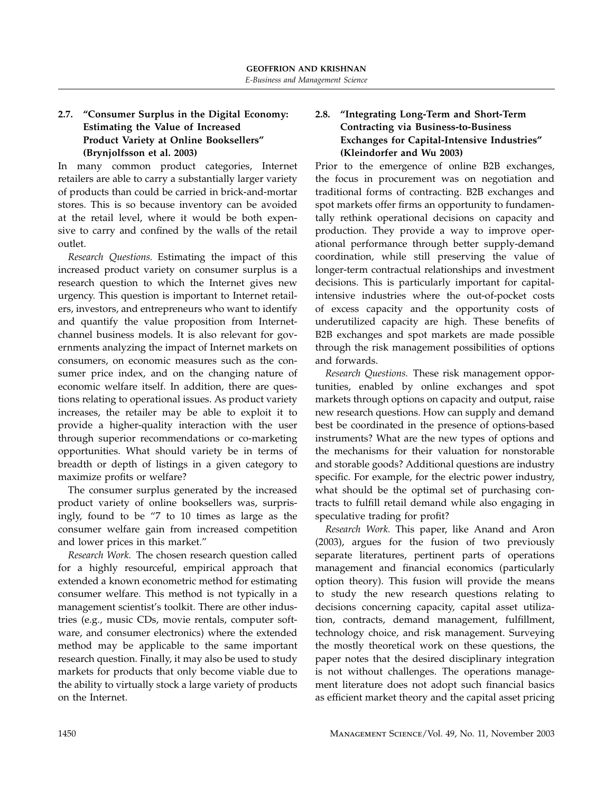## 2.7. "Consumer Surplus in the Digital Economy: Estimating the Value of Increased Product Variety at Online Booksellers" (Brynjolfsson et al. 2003)

In many common product categories, Internet retailers are able to carry a substantially larger variety of products than could be carried in brick-and-mortar stores. This is so because inventory can be avoided at the retail level, where it would be both expensive to carry and confined by the walls of the retail outlet.

Research Questions. Estimating the impact of this increased product variety on consumer surplus is a research question to which the Internet gives new urgency. This question is important to Internet retailers, investors, and entrepreneurs who want to identify and quantify the value proposition from Internetchannel business models. It is also relevant for governments analyzing the impact of Internet markets on consumers, on economic measures such as the consumer price index, and on the changing nature of economic welfare itself. In addition, there are questions relating to operational issues. As product variety increases, the retailer may be able to exploit it to provide a higher-quality interaction with the user through superior recommendations or co-marketing opportunities. What should variety be in terms of breadth or depth of listings in a given category to maximize profits or welfare?

The consumer surplus generated by the increased product variety of online booksellers was, surprisingly, found to be "7 to 10 times as large as the consumer welfare gain from increased competition and lower prices in this market."

Research Work. The chosen research question called for a highly resourceful, empirical approach that extended a known econometric method for estimating consumer welfare. This method is not typically in a management scientist's toolkit. There are other industries (e.g., music CDs, movie rentals, computer software, and consumer electronics) where the extended method may be applicable to the same important research question. Finally, it may also be used to study markets for products that only become viable due to the ability to virtually stock a large variety of products on the Internet.

## 2.8. "Integrating Long-Term and Short-Term Contracting via Business-to-Business Exchanges for Capital-Intensive Industries" (Kleindorfer and Wu 2003)

Prior to the emergence of online B2B exchanges, the focus in procurement was on negotiation and traditional forms of contracting. B2B exchanges and spot markets offer firms an opportunity to fundamentally rethink operational decisions on capacity and production. They provide a way to improve operational performance through better supply-demand coordination, while still preserving the value of longer-term contractual relationships and investment decisions. This is particularly important for capitalintensive industries where the out-of-pocket costs of excess capacity and the opportunity costs of underutilized capacity are high. These benefits of B2B exchanges and spot markets are made possible through the risk management possibilities of options and forwards.

Research Questions. These risk management opportunities, enabled by online exchanges and spot markets through options on capacity and output, raise new research questions. How can supply and demand best be coordinated in the presence of options-based instruments? What are the new types of options and the mechanisms for their valuation for nonstorable and storable goods? Additional questions are industry specific. For example, for the electric power industry, what should be the optimal set of purchasing contracts to fulfill retail demand while also engaging in speculative trading for profit?

Research Work. This paper, like Anand and Aron (2003), argues for the fusion of two previously separate literatures, pertinent parts of operations management and financial economics (particularly option theory). This fusion will provide the means to study the new research questions relating to decisions concerning capacity, capital asset utilization, contracts, demand management, fulfillment, technology choice, and risk management. Surveying the mostly theoretical work on these questions, the paper notes that the desired disciplinary integration is not without challenges. The operations management literature does not adopt such financial basics as efficient market theory and the capital asset pricing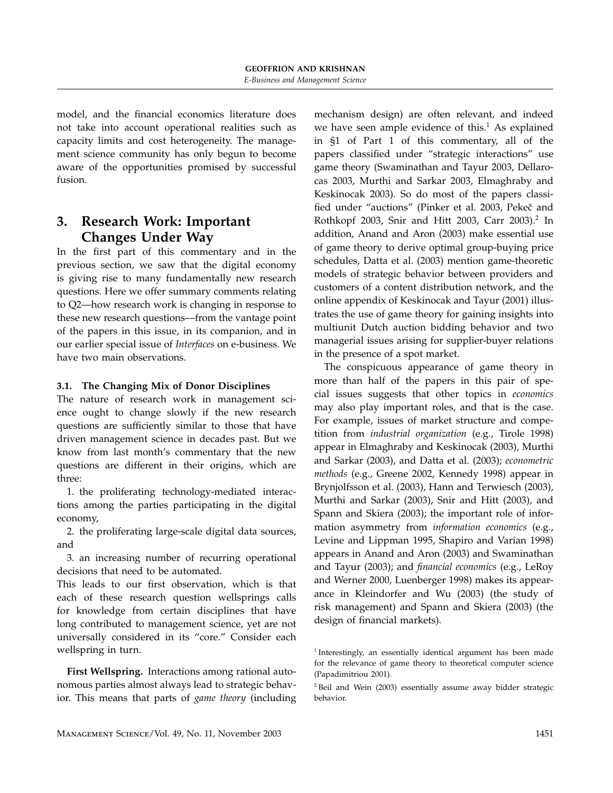model, and the financial economics literature does not take into account operational realities such as capacity limits and cost heterogeneity. The management science community has only begun to become aware of the opportunities promised by successful fusion.

# 3. Research Work: Important Changes Under Way

In the first part of this commentary and in the previous section, we saw that the digital economy is giving rise to many fundamentally new research questions. Here we offer summary comments relating to Q2—how research work is changing in response to these new research questions—from the vantage point of the papers in this issue, in its companion, and in our earlier special issue of Interfaces on e-business. We have two main observations.

#### 3.1. The Changing Mix of Donor Disciplines

The nature of research work in management science ought to change slowly if the new research questions are sufficiently similar to those that have driven management science in decades past. But we know from last month's commentary that the new questions are different in their origins, which are three:

1. the proliferating technology-mediated interactions among the parties participating in the digital economy,

2. the proliferating large-scale digital data sources, and

3. an increasing number of recurring operational decisions that need to be automated.

This leads to our first observation, which is that each of these research question wellsprings calls for knowledge from certain disciplines that have long contributed to management science, yet are not universally considered in its "core." Consider each wellspring in turn.

First Wellspring. Interactions among rational autonomous parties almost always lead to strategic behavior. This means that parts of game theory (including

mechanism design) are often relevant, and indeed we have seen ample evidence of this.<sup>1</sup> As explained in §1 of Part 1 of this commentary, all of the papers classified under "strategic interactions" use game theory (Swaminathan and Tayur 2003, Dellarocas 2003, Murthi and Sarkar 2003, Elmaghraby and Keskinocak 2003). So do most of the papers classified under "auctions" (Pinker et al. 2003, Pekeč and Rothkopf 2003, Snir and Hitt 2003, Carr 2003).<sup>2</sup> In addition, Anand and Aron (2003) make essential use of game theory to derive optimal group-buying price schedules, Datta et al. (2003) mention game-theoretic models of strategic behavior between providers and customers of a content distribution network, and the online appendix of Keskinocak and Tayur (2001) illustrates the use of game theory for gaining insights into multiunit Dutch auction bidding behavior and two managerial issues arising for supplier-buyer relations in the presence of a spot market.

The conspicuous appearance of game theory in more than half of the papers in this pair of special issues suggests that other topics in economics may also play important roles, and that is the case. For example, issues of market structure and competition from industrial organization (e.g., Tirole 1998) appear in Elmaghraby and Keskinocak (2003), Murthi and Sarkar (2003), and Datta et al. (2003); econometric methods (e.g., Greene 2002, Kennedy 1998) appear in Brynjolfsson et al. (2003), Hann and Terwiesch (2003), Murthi and Sarkar (2003), Snir and Hitt (2003), and Spann and Skiera (2003); the important role of information asymmetry from information economics (e.g., Levine and Lippman 1995, Shapiro and Varian 1998) appears in Anand and Aron (2003) and Swaminathan and Tayur (2003); and financial economics (e.g., LeRoy and Werner 2000, Luenberger 1998) makes its appearance in Kleindorfer and Wu (2003) (the study of risk management) and Spann and Skiera (2003) (the design of financial markets).

<sup>&</sup>lt;sup>1</sup> Interestingly, an essentially identical argument has been made for the relevance of game theory to theoretical computer science (Papadimitriou 2001).

<sup>2</sup> Beil and Wein (2003) essentially assume away bidder strategic behavior.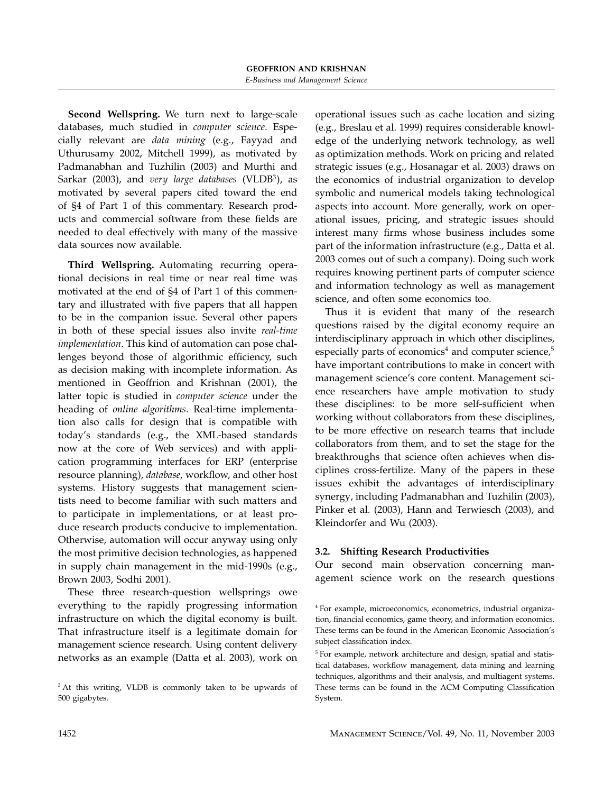Second Wellspring. We turn next to large-scale databases, much studied in computer science. Especially relevant are data mining (e.g., Fayyad and Uthurusamy 2002, Mitchell 1999), as motivated by Padmanabhan and Tuzhilin (2003) and Murthi and Sarkar (2003), and very large databases (VLDB<sup>3</sup>), as motivated by several papers cited toward the end of §4 of Part 1 of this commentary. Research products and commercial software from these fields are needed to deal effectively with many of the massive data sources now available.

Third Wellspring. Automating recurring operational decisions in real time or near real time was motivated at the end of §4 of Part 1 of this commentary and illustrated with five papers that all happen to be in the companion issue. Several other papers in both of these special issues also invite real-time implementation. This kind of automation can pose challenges beyond those of algorithmic efficiency, such as decision making with incomplete information. As mentioned in Geoffrion and Krishnan (2001), the latter topic is studied in computer science under the heading of online algorithms. Real-time implementation also calls for design that is compatible with today's standards (e.g., the XML-based standards now at the core of Web services) and with application programming interfaces for ERP (enterprise resource planning), database, workflow, and other host systems. History suggests that management scientists need to become familiar with such matters and to participate in implementations, or at least produce research products conducive to implementation. Otherwise, automation will occur anyway using only the most primitive decision technologies, as happened in supply chain management in the mid-1990s (e.g., Brown 2003, Sodhi 2001).

These three research-question wellsprings owe everything to the rapidly progressing information infrastructure on which the digital economy is built. That infrastructure itself is a legitimate domain for management science research. Using content delivery networks as an example (Datta et al. 2003), work on operational issues such as cache location and sizing (e.g., Breslau et al. 1999) requires considerable knowledge of the underlying network technology, as well as optimization methods. Work on pricing and related strategic issues (e.g., Hosanagar et al. 2003) draws on the economics of industrial organization to develop symbolic and numerical models taking technological aspects into account. More generally, work on operational issues, pricing, and strategic issues should interest many firms whose business includes some part of the information infrastructure (e.g., Datta et al. 2003 comes out of such a company). Doing such work requires knowing pertinent parts of computer science and information technology as well as management science, and often some economics too.

Thus it is evident that many of the research questions raised by the digital economy require an interdisciplinary approach in which other disciplines, especially parts of economics<sup>4</sup> and computer science, $5$ have important contributions to make in concert with management science's core content. Management science researchers have ample motivation to study these disciplines: to be more self-sufficient when working without collaborators from these disciplines, to be more effective on research teams that include collaborators from them, and to set the stage for the breakthroughs that science often achieves when disciplines cross-fertilize. Many of the papers in these issues exhibit the advantages of interdisciplinary synergy, including Padmanabhan and Tuzhilin (2003), Pinker et al. (2003), Hann and Terwiesch (2003), and Kleindorfer and Wu (2003).

#### 3.2. Shifting Research Productivities

Our second main observation concerning management science work on the research questions

<sup>&</sup>lt;sup>3</sup> At this writing, VLDB is commonly taken to be upwards of 500 gigabytes.

<sup>4</sup> For example, microeconomics, econometrics, industrial organization, financial economics, game theory, and information economics. These terms can be found in the American Economic Association's subject classification index.

<sup>&</sup>lt;sup>5</sup> For example, network architecture and design, spatial and statistical databases, workflow management, data mining and learning techniques, algorithms and their analysis, and multiagent systems. These terms can be found in the ACM Computing Classification System.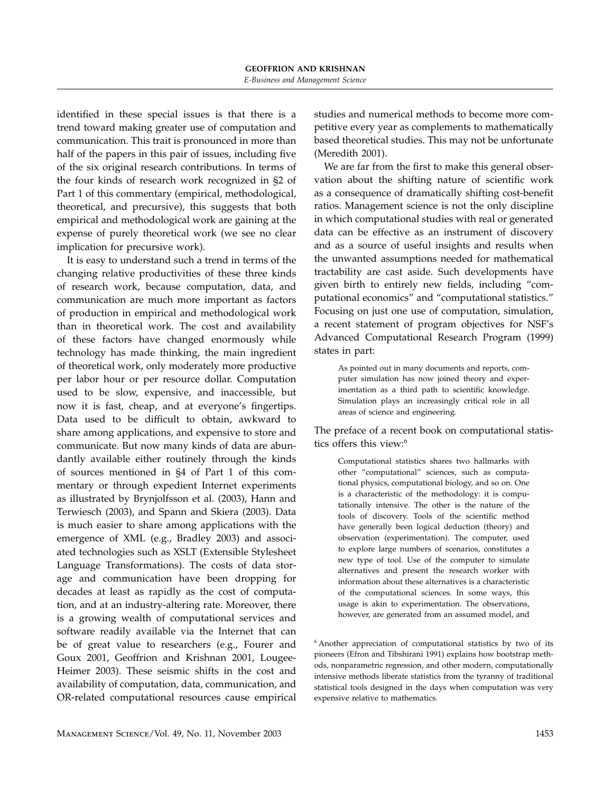identified in these special issues is that there is a trend toward making greater use of computation and communication. This trait is pronounced in more than half of the papers in this pair of issues, including five of the six original research contributions. In terms of the four kinds of research work recognized in §2 of Part 1 of this commentary (empirical, methodological, theoretical, and precursive), this suggests that both empirical and methodological work are gaining at the expense of purely theoretical work (we see no clear implication for precursive work).

It is easy to understand such a trend in terms of the changing relative productivities of these three kinds of research work, because computation, data, and communication are much more important as factors of production in empirical and methodological work than in theoretical work. The cost and availability of these factors have changed enormously while technology has made thinking, the main ingredient of theoretical work, only moderately more productive per labor hour or per resource dollar. Computation used to be slow, expensive, and inaccessible, but now it is fast, cheap, and at everyone's fingertips. Data used to be difficult to obtain, awkward to share among applications, and expensive to store and communicate. But now many kinds of data are abundantly available either routinely through the kinds of sources mentioned in §4 of Part 1 of this commentary or through expedient Internet experiments as illustrated by Brynjolfsson et al. (2003), Hann and Terwiesch (2003), and Spann and Skiera (2003). Data is much easier to share among applications with the emergence of XML (e.g., Bradley 2003) and associated technologies such as XSLT (Extensible Stylesheet Language Transformations). The costs of data storage and communication have been dropping for decades at least as rapidly as the cost of computation, and at an industry-altering rate. Moreover, there is a growing wealth of computational services and software readily available via the Internet that can be of great value to researchers (e.g., Fourer and Goux 2001, Geoffrion and Krishnan 2001, Lougee-Heimer 2003). These seismic shifts in the cost and availability of computation, data, communication, and OR-related computational resources cause empirical studies and numerical methods to become more competitive every year as complements to mathematically based theoretical studies. This may not be unfortunate (Meredith 2001).

We are far from the first to make this general observation about the shifting nature of scientific work as a consequence of dramatically shifting cost-benefit ratios. Management science is not the only discipline in which computational studies with real or generated data can be effective as an instrument of discovery and as a source of useful insights and results when the unwanted assumptions needed for mathematical tractability are cast aside. Such developments have given birth to entirely new fields, including "computational economics" and "computational statistics." Focusing on just one use of computation, simulation, a recent statement of program objectives for NSF's Advanced Computational Research Program (1999) states in part:

As pointed out in many documents and reports, computer simulation has now joined theory and experimentation as a third path to scientific knowledge. Simulation plays an increasingly critical role in all areas of science and engineering.

The preface of a recent book on computational statistics offers this view:<sup>6</sup>

Computational statistics shares two hallmarks with other "computational" sciences, such as computational physics, computational biology, and so on. One is a characteristic of the methodology: it is computationally intensive. The other is the nature of the tools of discovery. Tools of the scientific method have generally been logical deduction (theory) and observation (experimentation). The computer, used to explore large numbers of scenarios, constitutes a new type of tool. Use of the computer to simulate alternatives and present the research worker with information about these alternatives is a characteristic of the computational sciences. In some ways, this usage is akin to experimentation. The observations, however, are generated from an assumed model, and

<sup>6</sup> Another appreciation of computational statistics by two of its pioneers (Efron and Tibshirani 1991) explains how bootstrap methods, nonparametric regression, and other modern, computationally intensive methods liberate statistics from the tyranny of traditional statistical tools designed in the days when computation was very expensive relative to mathematics.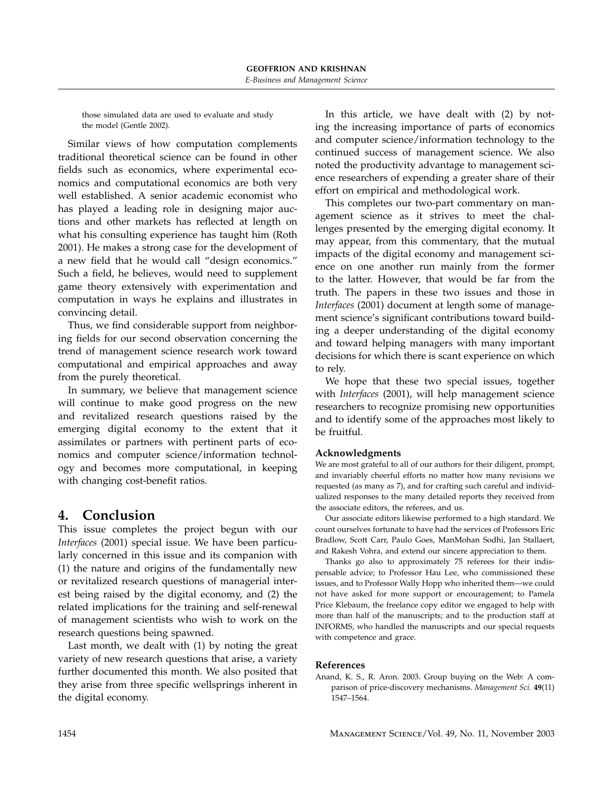those simulated data are used to evaluate and study the model (Gentle 2002).

Similar views of how computation complements traditional theoretical science can be found in other fields such as economics, where experimental economics and computational economics are both very well established. A senior academic economist who has played a leading role in designing major auctions and other markets has reflected at length on what his consulting experience has taught him (Roth 2001). He makes a strong case for the development of a new field that he would call "design economics." Such a field, he believes, would need to supplement game theory extensively with experimentation and computation in ways he explains and illustrates in convincing detail.

Thus, we find considerable support from neighboring fields for our second observation concerning the trend of management science research work toward computational and empirical approaches and away from the purely theoretical.

In summary, we believe that management science will continue to make good progress on the new and revitalized research questions raised by the emerging digital economy to the extent that it assimilates or partners with pertinent parts of economics and computer science/information technology and becomes more computational, in keeping with changing cost-benefit ratios.

# 4. Conclusion

This issue completes the project begun with our Interfaces (2001) special issue. We have been particularly concerned in this issue and its companion with (1) the nature and origins of the fundamentally new or revitalized research questions of managerial interest being raised by the digital economy, and (2) the related implications for the training and self-renewal of management scientists who wish to work on the research questions being spawned.

Last month, we dealt with (1) by noting the great variety of new research questions that arise, a variety further documented this month. We also posited that they arise from three specific wellsprings inherent in the digital economy.

In this article, we have dealt with (2) by noting the increasing importance of parts of economics and computer science/information technology to the continued success of management science. We also noted the productivity advantage to management science researchers of expending a greater share of their effort on empirical and methodological work.

This completes our two-part commentary on management science as it strives to meet the challenges presented by the emerging digital economy. It may appear, from this commentary, that the mutual impacts of the digital economy and management science on one another run mainly from the former to the latter. However, that would be far from the truth. The papers in these two issues and those in Interfaces (2001) document at length some of management science's significant contributions toward building a deeper understanding of the digital economy and toward helping managers with many important decisions for which there is scant experience on which to rely.

We hope that these two special issues, together with Interfaces (2001), will help management science researchers to recognize promising new opportunities and to identify some of the approaches most likely to be fruitful.

#### Acknowledgments

We are most grateful to all of our authors for their diligent, prompt, and invariably cheerful efforts no matter how many revisions we requested (as many as 7), and for crafting such careful and individualized responses to the many detailed reports they received from the associate editors, the referees, and us.

Our associate editors likewise performed to a high standard. We count ourselves fortunate to have had the services of Professors Eric Bradlow, Scott Carr, Paulo Goes, ManMohan Sodhi, Jan Stallaert, and Rakesh Vohra, and extend our sincere appreciation to them.

Thanks go also to approximately 75 referees for their indispensable advice; to Professor Hau Lee, who commissioned these issues, and to Professor Wally Hopp who inherited them—we could not have asked for more support or encouragement; to Pamela Price Klebaum, the freelance copy editor we engaged to help with more than half of the manuscripts; and to the production staff at INFORMS, who handled the manuscripts and our special requests with competence and grace.

#### References

Anand, K. S., R. Aron. 2003. Group buying on the Web: A comparison of price-discovery mechanisms. Management Sci. 49(11) 1547–1564.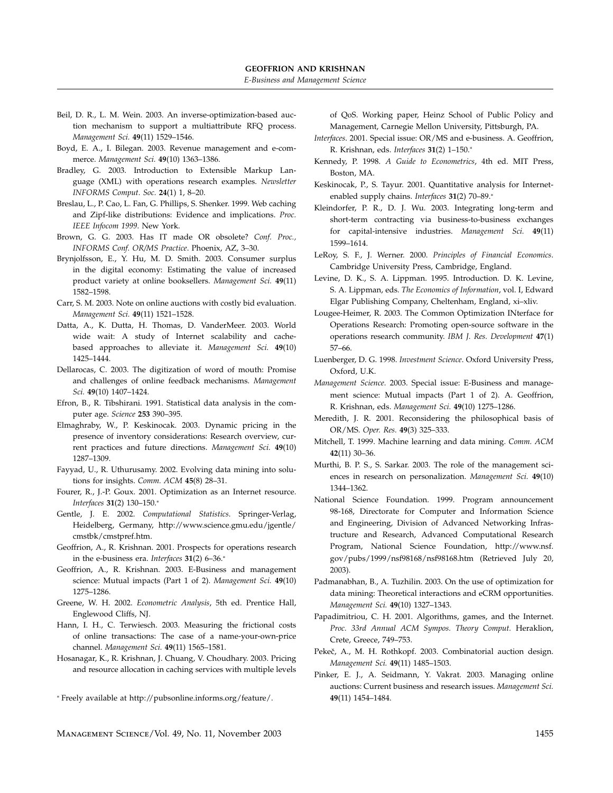- Beil, D. R., L. M. Wein. 2003. An inverse-optimization-based auction mechanism to support a multiattribute RFQ process. Management Sci. 49(11) 1529–1546.
- Boyd, E. A., I. Bilegan. 2003. Revenue management and e-commerce. Management Sci. 49(10) 1363–1386.
- Bradley, G. 2003. Introduction to Extensible Markup Language (XML) with operations research examples. Newsletter INFORMS Comput. Soc. 24(1) 1, 8–20.
- Breslau, L., P. Cao, L. Fan, G. Phillips, S. Shenker. 1999. Web caching and Zipf-like distributions: Evidence and implications. Proc. IEEE Infocom 1999. New York.
- Brown, G. G. 2003. Has IT made OR obsolete? Conf. Proc., INFORMS Conf. OR/MS Practice. Phoenix, AZ, 3–30.
- Brynjolfsson, E., Y. Hu, M. D. Smith. 2003. Consumer surplus in the digital economy: Estimating the value of increased product variety at online booksellers. Management Sci. 49(11) 1582–1598.
- Carr, S. M. 2003. Note on online auctions with costly bid evaluation. Management Sci. 49(11) 1521–1528.
- Datta, A., K. Dutta, H. Thomas, D. VanderMeer. 2003. World wide wait: A study of Internet scalability and cachebased approaches to alleviate it. Management Sci. 49(10) 1425–1444.
- Dellarocas, C. 2003. The digitization of word of mouth: Promise and challenges of online feedback mechanisms. Management Sci. 49(10) 1407–1424.
- Efron, B., R. Tibshirani. 1991. Statistical data analysis in the computer age. Science 253 390–395.
- Elmaghraby, W., P. Keskinocak. 2003. Dynamic pricing in the presence of inventory considerations: Research overview, current practices and future directions. Management Sci. 49(10) 1287–1309.
- Fayyad, U., R. Uthurusamy. 2002. Evolving data mining into solutions for insights. Comm. ACM 45(8) 28–31.
- Fourer, R., J.-P. Goux. 2001. Optimization as an Internet resource. Interfaces 31(2) 130–150.<sup>∗</sup>
- Gentle, J. E. 2002. Computational Statistics. Springer-Verlag, Heidelberg, Germany, http://www.science.gmu.edu/jgentle/ cmstbk/cmstpref.htm.
- Geoffrion, A., R. Krishnan. 2001. Prospects for operations research in the e-business era. Interfaces 31(2) 6–36.<sup>∗</sup>
- Geoffrion, A., R. Krishnan. 2003. E-Business and management science: Mutual impacts (Part 1 of 2). Management Sci. 49(10) 1275–1286.
- Greene, W. H. 2002. Econometric Analysis, 5th ed. Prentice Hall, Englewood Cliffs, NJ.
- Hann, I. H., C. Terwiesch. 2003. Measuring the frictional costs of online transactions: The case of a name-your-own-price channel. Management Sci. 49(11) 1565-1581.
- Hosanagar, K., R. Krishnan, J. Chuang, V. Choudhary. 2003. Pricing and resource allocation in caching services with multiple levels

<sup>∗</sup> Freely available at http://pubsonline.informs.org/feature/.

of QoS. Working paper, Heinz School of Public Policy and Management, Carnegie Mellon University, Pittsburgh, PA.

- Interfaces. 2001. Special issue: OR/MS and e-business. A. Geoffrion, R. Krishnan, eds. Interfaces 31(2) 1–150.<sup>∗</sup>
- Kennedy, P. 1998. A Guide to Econometrics, 4th ed. MIT Press, Boston, MA.
- Keskinocak, P., S. Tayur. 2001. Quantitative analysis for Internetenabled supply chains. Interfaces 31(2) 70-89.<sup>∗</sup>
- Kleindorfer, P. R., D. J. Wu. 2003. Integrating long-term and short-term contracting via business-to-business exchanges for capital-intensive industries. Management Sci. 49(11) 1599–1614.
- LeRoy, S. F., J. Werner. 2000. Principles of Financial Economics. Cambridge University Press, Cambridge, England.
- Levine, D. K., S. A. Lippman. 1995. Introduction. D. K. Levine, S. A. Lippman, eds. The Economics of Information, vol. I, Edward Elgar Publishing Company, Cheltenham, England, xi–xliv.
- Lougee-Heimer, R. 2003. The Common Optimization INterface for Operations Research: Promoting open-source software in the operations research community. IBM J. Res. Development 47(1) 57–66.
- Luenberger, D. G. 1998. Investment Science. Oxford University Press, Oxford, U.K.
- Management Science. 2003. Special issue: E-Business and management science: Mutual impacts (Part 1 of 2). A. Geoffrion, R. Krishnan, eds. Management Sci. 49(10) 1275-1286.
- Meredith, J. R. 2001. Reconsidering the philosophical basis of OR/MS. Oper. Res. 49(3) 325–333.
- Mitchell, T. 1999. Machine learning and data mining. Comm. ACM 42(11) 30–36.
- Murthi, B. P. S., S. Sarkar. 2003. The role of the management sciences in research on personalization. Management Sci. 49(10) 1344–1362.
- National Science Foundation. 1999. Program announcement 98-168, Directorate for Computer and Information Science and Engineering, Division of Advanced Networking Infrastructure and Research, Advanced Computational Research Program, National Science Foundation, http://www.nsf. gov/pubs/1999/nsf98168/nsf98168.htm (Retrieved July 20, 2003).
- Padmanabhan, B., A. Tuzhilin. 2003. On the use of optimization for data mining: Theoretical interactions and eCRM opportunities. Management Sci. 49(10) 1327–1343.
- Papadimitriou, C. H. 2001. Algorithms, games, and the Internet. Proc. 33rd Annual ACM Sympos. Theory Comput. Heraklion, Crete, Greece, 749–753.
- Pekeč, A., M. H. Rothkopf. 2003. Combinatorial auction design. Management Sci. 49(11) 1485–1503.
- Pinker, E. J., A. Seidmann, Y. Vakrat. 2003. Managing online auctions: Current business and research issues. Management Sci. 49(11) 1454–1484.